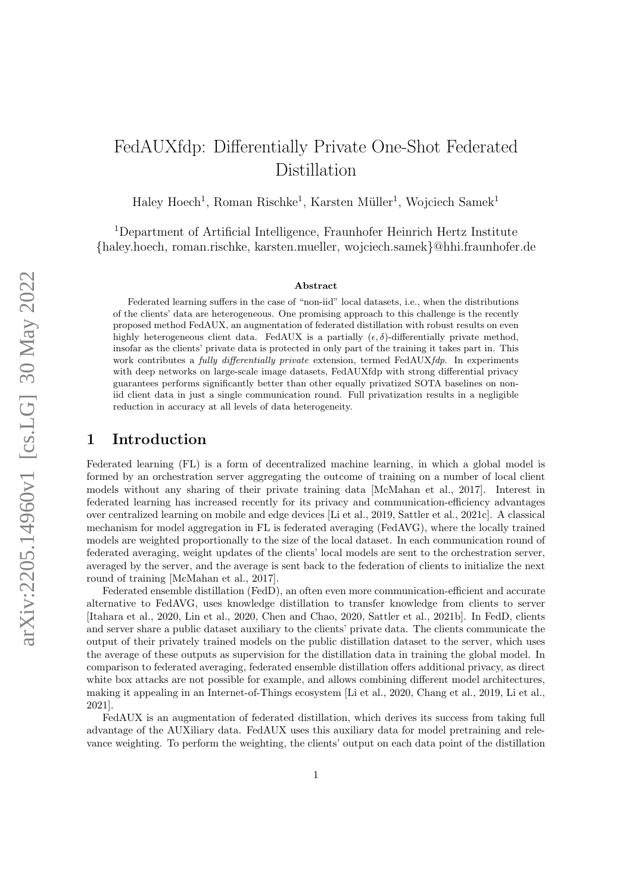# FedAUXfdp: Differentially Private One-Shot Federated Distillation

Haley Hoech<sup>1</sup>, Roman Rischke<sup>1</sup>, Karsten Müller<sup>1</sup>, Wojciech Samek<sup>1</sup>

<sup>1</sup>Department of Artificial Intelligence, Fraunhofer Heinrich Hertz Institute {haley.hoech, roman.rischke, karsten.mueller, wojciech.samek}@hhi.fraunhofer.de

#### Abstract

Federated learning suffers in the case of "non-iid" local datasets, i.e., when the distributions of the clients' data are heterogeneous. One promising approach to this challenge is the recently proposed method FedAUX, an augmentation of federated distillation with robust results on even highly heterogeneous client data. FedAUX is a partially  $(\epsilon, \delta)$ -differentially private method, insofar as the clients' private data is protected in only part of the training it takes part in. This work contributes a *fully differentially private* extension, termed FedAUX*fdp*. In experiments with deep networks on large-scale image datasets, FedAUXfdp with strong differential privacy guarantees performs significantly better than other equally privatized SOTA baselines on noniid client data in just a single communication round. Full privatization results in a negligible reduction in accuracy at all levels of data heterogeneity.

## 1 Introduction

Federated learning (FL) is a form of decentralized machine learning, in which a global model is formed by an orchestration server aggregating the outcome of training on a number of local client models without any sharing of their private training data [\[McMahan et al., 2017\]](#page-10-0). Interest in federated learning has increased recently for its privacy and communication-efficiency advantages over centralized learning on mobile and edge devices [\[Li et al., 2019,](#page-10-1) [Sattler et al., 2021c\]](#page-11-0). A classical mechanism for model aggregation in FL is federated averaging (FedAVG), where the locally trained models are weighted proportionally to the size of the local dataset. In each communication round of federated averaging, weight updates of the clients' local models are sent to the orchestration server, averaged by the server, and the average is sent back to the federation of clients to initialize the next round of training [\[McMahan et al., 2017\]](#page-10-0).

Federated ensemble distillation (FedD), an often even more communication-efficient and accurate alternative to FedAVG, uses knowledge distillation to transfer knowledge from clients to server [\[Itahara et al., 2020,](#page-10-2) [Lin et al., 2020,](#page-10-3) [Chen and Chao, 2020,](#page-9-0) [Sattler et al., 2021b\]](#page-11-1). In FedD, clients and server share a public dataset auxiliary to the clients' private data. The clients communicate the output of their privately trained models on the public distillation dataset to the server, which uses the average of these outputs as supervision for the distillation data in training the global model. In comparison to federated averaging, federated ensemble distillation offers additional privacy, as direct white box attacks are not possible for example, and allows combining different model architectures. making it appealing in an Internet-of-Things ecosystem [\[Li et al., 2020,](#page-10-4) [Chang et al., 2019,](#page-9-1) [Li et al.,](#page-10-5) [2021\]](#page-10-5).

FedAUX is an augmentation of federated distillation, which derives its success from taking full advantage of the AUXiliary data. FedAUX uses this auxiliary data for model pretraining and relevance weighting. To perform the weighting, the clients' output on each data point of the distillation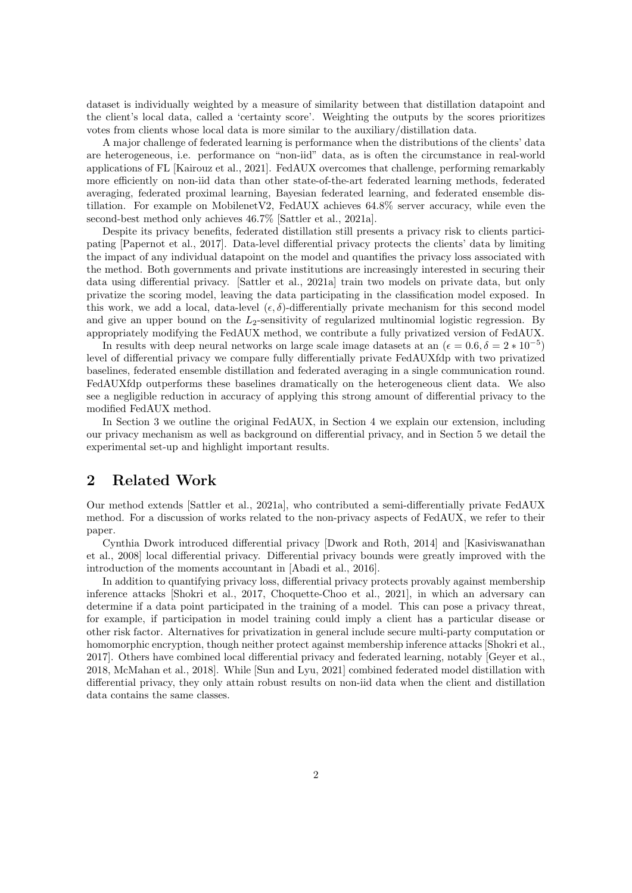dataset is individually weighted by a measure of similarity between that distillation datapoint and the client's local data, called a 'certainty score'. Weighting the outputs by the scores prioritizes votes from clients whose local data is more similar to the auxiliary/distillation data.

A major challenge of federated learning is performance when the distributions of the clients' data are heterogeneous, i.e. performance on "non-iid" data, as is often the circumstance in real-world applications of FL [\[Kairouz et al., 2021\]](#page-10-6). FedAUX overcomes that challenge, performing remarkably more efficiently on non-iid data than other state-of-the-art federated learning methods, federated averaging, federated proximal learning, Bayesian federated learning, and federated ensemble distillation. For example on MobilenetV2, FedAUX achieves 64.8% server accuracy, while even the second-best method only achieves 46.7% [\[Sattler et al., 2021a\]](#page-11-2).

Despite its privacy benefits, federated distillation still presents a privacy risk to clients participating [\[Papernot et al., 2017\]](#page-10-7). Data-level differential privacy protects the clients' data by limiting the impact of any individual datapoint on the model and quantifies the privacy loss associated with the method. Both governments and private institutions are increasingly interested in securing their data using differential privacy. [\[Sattler et al., 2021a\]](#page-11-2) train two models on private data, but only privatize the scoring model, leaving the data participating in the classification model exposed. In this work, we add a local, data-level  $(\epsilon, \delta)$ -differentially private mechanism for this second model and give an upper bound on the  $L_2$ -sensitivity of regularized multinomial logistic regression. By appropriately modifying the FedAUX method, we contribute a fully privatized version of FedAUX.

In results with deep neural networks on large scale image datasets at an  $(\epsilon = 0.6, \delta = 2 * 10^{-5})$ level of differential privacy we compare fully differentially private FedAUXfdp with two privatized baselines, federated ensemble distillation and federated averaging in a single communication round. FedAUXfdp outperforms these baselines dramatically on the heterogeneous client data. We also see a negligible reduction in accuracy of applying this strong amount of differential privacy to the modified FedAUX method.

In Section [3](#page-2-0) we outline the original FedAUX, in Section [4](#page-4-0) we explain our extension, including our privacy mechanism as well as background on differential privacy, and in Section [5](#page-7-0) we detail the experimental set-up and highlight important results.

## 2 Related Work

Our method extends [\[Sattler et al., 2021a\]](#page-11-2), who contributed a semi-differentially private FedAUX method. For a discussion of works related to the non-privacy aspects of FedAUX, we refer to their paper.

Cynthia Dwork introduced differential privacy [\[Dwork and Roth, 2014\]](#page-10-8) and [\[Kasiviswanathan](#page-10-9) [et al., 2008\]](#page-10-9) local differential privacy. Differential privacy bounds were greatly improved with the introduction of the moments accountant in [\[Abadi et al., 2016\]](#page-9-2).

In addition to quantifying privacy loss, differential privacy protects provably against membership inference attacks [\[Shokri et al., 2017,](#page-11-3) [Choquette-Choo et al., 2021\]](#page-9-3), in which an adversary can determine if a data point participated in the training of a model. This can pose a privacy threat, for example, if participation in model training could imply a client has a particular disease or other risk factor. Alternatives for privatization in general include secure multi-party computation or homomorphic encryption, though neither protect against membership inference attacks [\[Shokri et al.,](#page-11-3) [2017\]](#page-11-3). Others have combined local differential privacy and federated learning, notably [\[Geyer et al.,](#page-10-10) [2018,](#page-10-10) [McMahan et al., 2018\]](#page-10-11). While [\[Sun and Lyu, 2021\]](#page-11-4) combined federated model distillation with differential privacy, they only attain robust results on non-iid data when the client and distillation data contains the same classes.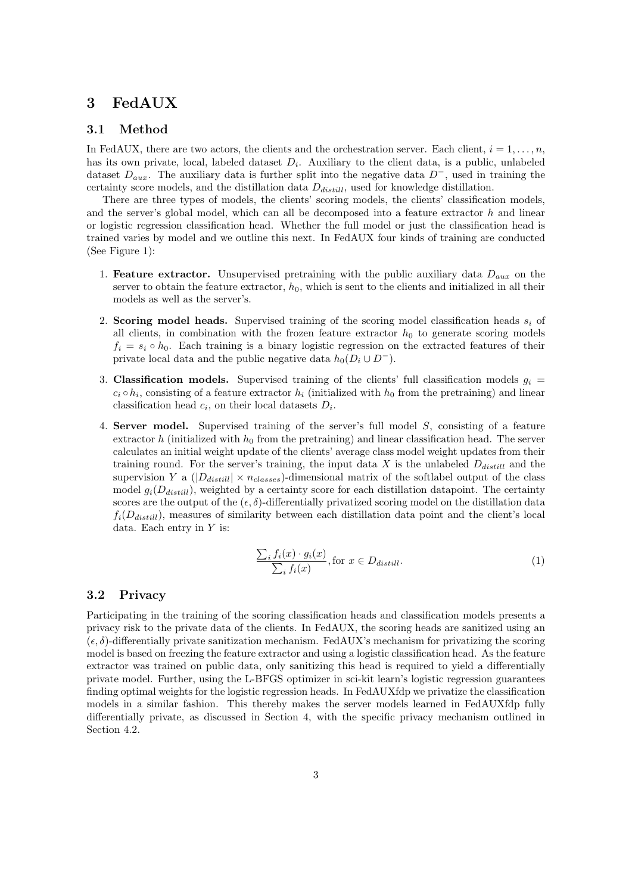# <span id="page-2-0"></span>3 FedAUX

#### 3.1 Method

In FedAUX, there are two actors, the clients and the orchestration server. Each client,  $i = 1, \ldots, n$ , has its own private, local, labeled dataset  $D_i$ . Auxiliary to the client data, is a public, unlabeled dataset  $D_{aux}$ . The auxiliary data is further split into the negative data  $D^-$ , used in training the certainty score models, and the distillation data  $D_{distill}$ , used for knowledge distillation.

There are three types of models, the clients' scoring models, the clients' classification models, and the server's global model, which can all be decomposed into a feature extractor  $h$  and linear or logistic regression classification head. Whether the full model or just the classification head is trained varies by model and we outline this next. In FedAUX four kinds of training are conducted (See Figure [1\)](#page-3-0):

- 1. Feature extractor. Unsupervised pretraining with the public auxiliary data  $D_{aux}$  on the server to obtain the feature extractor,  $h_0$ , which is sent to the clients and initialized in all their models as well as the server's.
- 2. Scoring model heads. Supervised training of the scoring model classification heads  $s_i$  of all clients, in combination with the frozen feature extractor  $h_0$  to generate scoring models  $f_i = s_i \circ h_0$ . Each training is a binary logistic regression on the extracted features of their private local data and the public negative data  $h_0(D_i \cup D^-)$ .
- 3. Classification models. Supervised training of the clients' full classification models  $g_i =$  $c_i \circ h_i$ , consisting of a feature extractor  $h_i$  (initialized with  $h_0$  from the pretraining) and linear classification head  $c_i$ , on their local datasets  $D_i$ .
- 4. Server model. Supervised training of the server's full model S, consisting of a feature extractor h (initialized with  $h_0$  from the pretraining) and linear classification head. The server calculates an initial weight update of the clients' average class model weight updates from their training round. For the server's training, the input data  $X$  is the unlabeled  $D_{distill}$  and the supervision Y a  $(|D_{distill}| \times n_{classes})$ -dimensional matrix of the softlabel output of the class model  $g_i(D_{distill})$ , weighted by a certainty score for each distillation datapoint. The certainty scores are the output of the  $(\epsilon, \delta)$ -differentially privatized scoring model on the distillation data  $f_i(D_{distill})$ , measures of similarity between each distillation data point and the client's local data. Each entry in  $Y$  is:

$$
\frac{\sum_{i} f_i(x) \cdot g_i(x)}{\sum_{i} f_i(x)}, \text{for } x \in D_{distill}.
$$
 (1)

#### 3.2 Privacy

Participating in the training of the scoring classification heads and classification models presents a privacy risk to the private data of the clients. In FedAUX, the scoring heads are sanitized using an  $(\epsilon, \delta)$ -differentially private sanitization mechanism. FedAUX's mechanism for privatizing the scoring model is based on freezing the feature extractor and using a logistic classification head. As the feature extractor was trained on public data, only sanitizing this head is required to yield a differentially private model. Further, using the L-BFGS optimizer in sci-kit learn's logistic regression guarantees finding optimal weights for the logistic regression heads. In FedAUXfdp we privatize the classification models in a similar fashion. This thereby makes the server models learned in FedAUXfdp fully differentially private, as discussed in Section [4,](#page-4-0) with the specific privacy mechanism outlined in Section [4.2.](#page-4-1)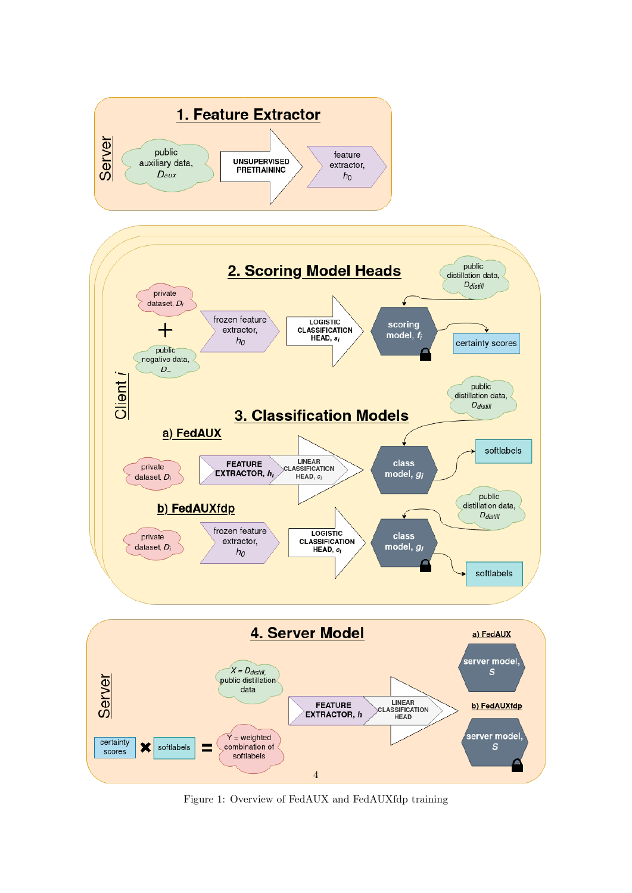<span id="page-3-0"></span>

Figure 1: Overview of FedAUX and FedAUXfdp training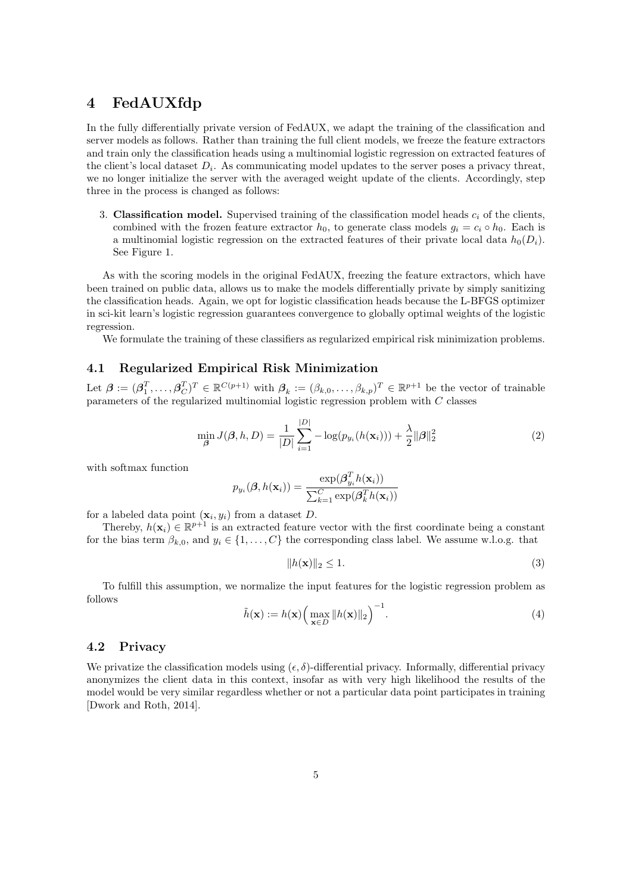# <span id="page-4-0"></span>4 FedAUXfdp

In the fully differentially private version of FedAUX, we adapt the training of the classification and server models as follows. Rather than training the full client models, we freeze the feature extractors and train only the classification heads using a multinomial logistic regression on extracted features of the client's local dataset  $D_i$ . As communicating model updates to the server poses a privacy threat, we no longer initialize the server with the averaged weight update of the clients. Accordingly, step three in the process is changed as follows:

3. Classification model. Supervised training of the classification model heads  $c_i$  of the clients, combined with the frozen feature extractor  $h_0$ , to generate class models  $g_i = c_i \circ h_0$ . Each is a multinomial logistic regression on the extracted features of their private local data  $h_0(D_i)$ . See Figure [1.](#page-3-0)

As with the scoring models in the original FedAUX, freezing the feature extractors, which have been trained on public data, allows us to make the models differentially private by simply sanitizing the classification heads. Again, we opt for logistic classification heads because the L-BFGS optimizer in sci-kit learn's logistic regression guarantees convergence to globally optimal weights of the logistic regression.

We formulate the training of these classifiers as regularized empirical risk minimization problems.

#### 4.1 Regularized Empirical Risk Minimization

Let  $\boldsymbol{\beta} := (\boldsymbol{\beta}_1^T, \dots, \boldsymbol{\beta}_C^T)^T \in \mathbb{R}^{C(p+1)}$  with  $\boldsymbol{\beta}_k := (\beta_{k,0}, \dots, \beta_{k,p})^T \in \mathbb{R}^{p+1}$  be the vector of trainable parameters of the regularized multinomial logistic regression problem with C classes

<span id="page-4-2"></span>
$$
\min_{\beta} J(\beta, h, D) = \frac{1}{|D|} \sum_{i=1}^{|D|} -\log(p_{y_i}(h(\mathbf{x}_i))) + \frac{\lambda}{2} ||\beta||_2^2
$$
 (2)

with softmax function

$$
p_{y_i}(\boldsymbol{\beta}, h(\mathbf{x}_i)) = \frac{\exp(\boldsymbol{\beta}_{y_i}^T h(\mathbf{x}_i))}{\sum_{k=1}^C \exp(\boldsymbol{\beta}_k^T h(\mathbf{x}_i))}
$$

for a labeled data point  $(\mathbf{x}_i, y_i)$  from a dataset D.

Thereby,  $h(\mathbf{x}_i) \in \mathbb{R}^{p+1}$  is an extracted feature vector with the first coordinate being a constant for the bias term  $\beta_{k,0}$ , and  $y_i \in \{1,\ldots,C\}$  the corresponding class label. We assume w.l.o.g. that

<span id="page-4-3"></span>
$$
||h(\mathbf{x})||_2 \le 1. \tag{3}
$$

To fulfill this assumption, we normalize the input features for the logistic regression problem as follows

$$
\tilde{h}(\mathbf{x}) := h(\mathbf{x}) \left( \max_{\mathbf{x} \in D} \|h(\mathbf{x})\|_2 \right)^{-1}.
$$
\n(4)

#### <span id="page-4-1"></span>4.2 Privacy

We privatize the classification models using  $(\epsilon, \delta)$ -differential privacy. Informally, differential privacy anonymizes the client data in this context, insofar as with very high likelihood the results of the model would be very similar regardless whether or not a particular data point participates in training [\[Dwork and Roth, 2014\]](#page-10-8).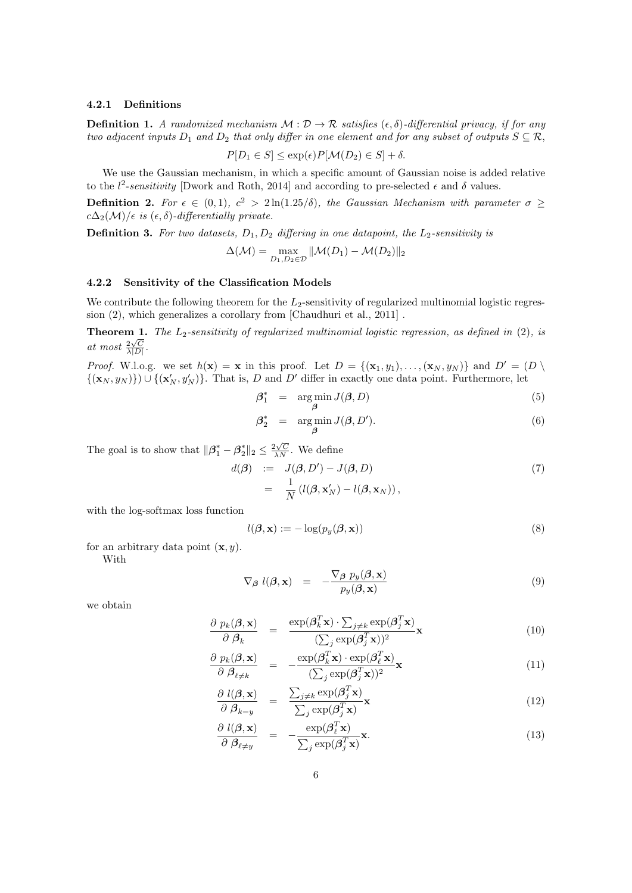#### 4.2.1 Definitions

**Definition 1.** A randomized mechanism  $\mathcal{M} : \mathcal{D} \to \mathcal{R}$  satisfies  $(\epsilon, \delta)$ -differential privacy, if for any two adjacent inputs  $D_1$  and  $D_2$  that only differ in one element and for any subset of outputs  $S \subseteq \mathcal{R}$ ,

$$
P[D_1 \in S] \le \exp(\epsilon) P[\mathcal{M}(D_2) \in S] + \delta.
$$

We use the Gaussian mechanism, in which a specific amount of Gaussian noise is added relative to the  $l^2$ -sensitivity [\[Dwork and Roth, 2014\]](#page-10-8) and according to pre-selected  $\epsilon$  and  $\delta$  values.

**Definition 2.** For  $\epsilon \in (0,1)$ ,  $c^2 > 2 \ln(1.25/\delta)$ , the Gaussian Mechanism with parameter  $\sigma \geq$  $c\Delta_2(\mathcal{M})/\epsilon$  is  $(\epsilon, \delta)$ -differentially private.

**Definition 3.** For two datasets,  $D_1, D_2$  differing in one datapoint, the  $L_2$ -sensitivity is

$$
\Delta(\mathcal{M}) = \max_{D_1, D_2 \in \mathcal{D}} \|\mathcal{M}(D_1) - \mathcal{M}(D_2)\|_2
$$

#### 4.2.2 Sensitivity of the Classification Models

We contribute the following theorem for the  $L_2$ -sensitivity of regularized multinomial logistic regression [\(2\)](#page-4-2), which generalizes a corollary from [\[Chaudhuri et al., 2011\]](#page-9-4) .

<span id="page-5-1"></span>**Theorem 1.** The  $L_2$ -sensitivity of regularized multinomial logistic regression, as defined in [\(2\)](#page-4-2), is at most  $\frac{2\sqrt{C}}{\lambda|D|}$ .

*Proof.* W.l.o.g. we set  $h(\mathbf{x}) = \mathbf{x}$  in this proof. Let  $D = \{(\mathbf{x}_1, y_1), \dots, (\mathbf{x}_N, y_N)\}\$ and  $D' = (D \setminus D')$  $\{(\mathbf{x}_N, y_N)\}\cup\{(\mathbf{x}'_N, y'_N)\}\$ . That is, D and D' differ in exactly one data point. Furthermore, let

$$
\beta_1^* = \underset{\beta}{\arg \min} J(\beta, D) \tag{5}
$$

$$
\beta_2^* = \underset{\beta}{\arg\min} J(\beta, D'). \tag{6}
$$

The goal is to show that  $\|\boldsymbol{\beta}_1^* - \boldsymbol{\beta}_2^*\|_2 \leq \frac{2\sqrt{C}}{\lambda N}$ . We define

$$
d(\boldsymbol{\beta}) := J(\boldsymbol{\beta}, D') - J(\boldsymbol{\beta}, D)
$$
  
= 
$$
\frac{1}{N} (l(\boldsymbol{\beta}, \mathbf{x}'_N) - l(\boldsymbol{\beta}, \mathbf{x}_N)),
$$
 (7)

with the log-softmax loss function

$$
l(\boldsymbol{\beta}, \mathbf{x}) := -\log(p_y(\boldsymbol{\beta}, \mathbf{x})) \tag{8}
$$

for an arbitrary data point  $(\mathbf{x}, y)$ .

With

$$
\nabla_{\beta} l(\beta, \mathbf{x}) = -\frac{\nabla_{\beta} p_y(\beta, \mathbf{x})}{p_y(\beta, \mathbf{x})}
$$
(9)

we obtain

<span id="page-5-0"></span>
$$
\frac{\partial p_k(\boldsymbol{\beta}, \mathbf{x})}{\partial \boldsymbol{\beta}_k} = \frac{\exp(\boldsymbol{\beta}_k^T \mathbf{x}) \cdot \sum_{j \neq k} \exp(\boldsymbol{\beta}_j^T \mathbf{x})}{(\sum_j \exp(\boldsymbol{\beta}_j^T \mathbf{x}))^2} \mathbf{x}
$$
(10)

$$
\frac{\partial p_k(\boldsymbol{\beta}, \mathbf{x})}{\partial \boldsymbol{\beta}_{\ell \neq k}} = -\frac{\exp(\boldsymbol{\beta}_k^T \mathbf{x}) \cdot \exp(\boldsymbol{\beta}_{\ell}^T \mathbf{x})}{(\sum_j \exp(\boldsymbol{\beta}_j^T \mathbf{x}))^2} \mathbf{x}
$$
\n(11)

$$
\frac{\partial l(\boldsymbol{\beta}, \mathbf{x})}{\partial \boldsymbol{\beta}_{k=y}} = \frac{\sum_{j \neq k} \exp(\boldsymbol{\beta}_j^T \mathbf{x})}{\sum_j \exp(\boldsymbol{\beta}_j^T \mathbf{x})} \mathbf{x}
$$
\n(12)

$$
\frac{\partial l(\boldsymbol{\beta}, \mathbf{x})}{\partial \boldsymbol{\beta}_{\ell \neq y}} = -\frac{\exp(\boldsymbol{\beta}_{\ell}^T \mathbf{x})}{\sum_j \exp(\boldsymbol{\beta}_j^T \mathbf{x})} \mathbf{x}.\tag{13}
$$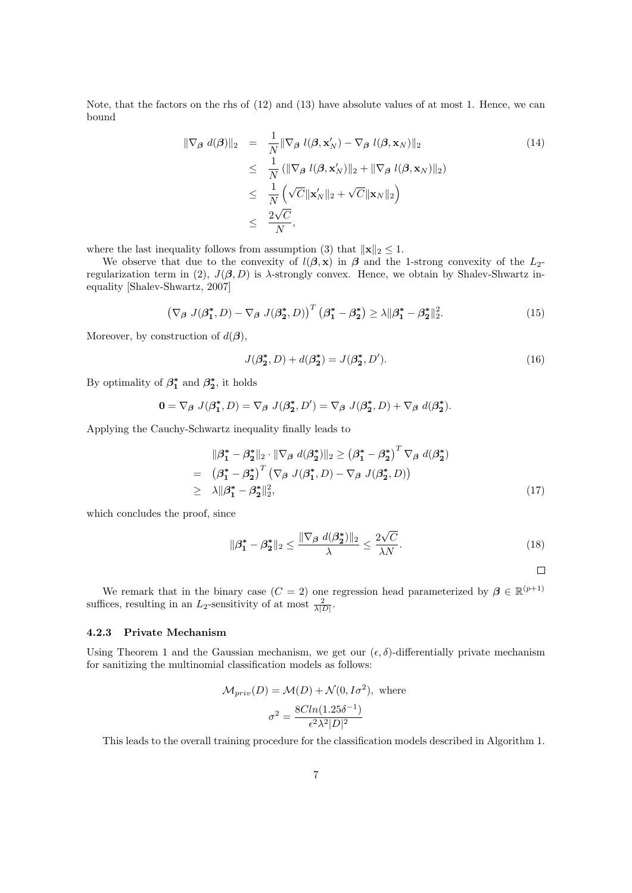Note, that the factors on the rhs of [\(12\)](#page-5-0) and [\(13\)](#page-5-0) have absolute values of at most 1. Hence, we can bound

$$
\|\nabla_{\beta} d(\beta)\|_{2} = \frac{1}{N} \|\nabla_{\beta} l(\beta, \mathbf{x}_{N}') - \nabla_{\beta} l(\beta, \mathbf{x}_{N})\|_{2}
$$
\n
$$
\leq \frac{1}{N} (\|\nabla_{\beta} l(\beta, \mathbf{x}_{N}')\|_{2} + \|\nabla_{\beta} l(\beta, \mathbf{x}_{N})\|_{2})
$$
\n
$$
\leq \frac{1}{N} (\sqrt{C} \|\mathbf{x}_{N}'\|_{2} + \sqrt{C} \|\mathbf{x}_{N}\|_{2})
$$
\n
$$
\leq \frac{2\sqrt{C}}{N},
$$
\n(14)

where the last inequality follows from assumption [\(3\)](#page-4-3) that  $||\mathbf{x}||_2 \leq 1$ .

We observe that due to the convexity of  $l(\beta, x)$  in  $\beta$  and the 1-strong convexity of the  $L_2$ -regularization term in [\(2\)](#page-4-2),  $J(\beta, D)$  is  $\lambda$ -strongly convex. Hence, we obtain by Shalev-Shwartz inequality [\[Shalev-Shwartz, 2007\]](#page-11-5)

$$
\left(\nabla_{\beta} J(\beta_1^*, D) - \nabla_{\beta} J(\beta_2^*, D)\right)^T \left(\beta_1^* - \beta_2^*\right) \ge \lambda \|\beta_1^* - \beta_2^*\|_2^2. \tag{15}
$$

Moreover, by construction of  $d(\boldsymbol{\beta})$ ,

$$
J(\beta_2^*, D) + d(\beta_2^*) = J(\beta_2^*, D').
$$
\n(16)

By optimality of  $\beta_1^*$  and  $\beta_2^*$ , it holds

$$
\mathbf{0} = \nabla_{\beta} J(\beta_1^*, D) = \nabla_{\beta} J(\beta_2^*, D') = \nabla_{\beta} J(\beta_2^*, D) + \nabla_{\beta} d(\beta_2^*).
$$

Applying the Cauchy-Schwartz inequality finally leads to

$$
\|\beta_1^* - \beta_2^*\|_2 \cdot \|\nabla_\beta d(\beta_2^*)\|_2 \ge \left(\beta_1^* - \beta_2^*\right)^T \nabla_\beta d(\beta_2^*)
$$
  
\n
$$
= (\beta_1^* - \beta_2^*)^T \left(\nabla_\beta J(\beta_1^*, D) - \nabla_\beta J(\beta_2^*, D)\right)
$$
  
\n
$$
\ge \lambda \|\beta_1^* - \beta_2^*\|_2^2, \tag{17}
$$

which concludes the proof, since

$$
\|\boldsymbol{\beta}_1^* - \boldsymbol{\beta}_2^*\|_2 \le \frac{\|\nabla_{\boldsymbol{\beta}} d(\boldsymbol{\beta}_2^*)\|_2}{\lambda} \le \frac{2\sqrt{C}}{\lambda N}.
$$
\n(18)

 $\Box$ 

We remark that in the binary case  $(C = 2)$  one regression head parameterized by  $\beta \in \mathbb{R}^{(p+1)}$ suffices, resulting in an  $L_2$ -sensitivity of at most  $\frac{2}{\lambda|D|}$ .

#### 4.2.3 Private Mechanism

Using Theorem [1](#page-5-1) and the Gaussian mechanism, we get our  $(\epsilon, \delta)$ -differentially private mechanism for sanitizing the multinomial classification models as follows:

$$
\mathcal{M}_{priv}(D) = \mathcal{M}(D) + \mathcal{N}(0, I\sigma^2), \text{ where}
$$

$$
\sigma^2 = \frac{8Cln(1.25\delta^{-1})}{\epsilon^2 \lambda^2 |D|^2}
$$

This leads to the overall training procedure for the classification models described in Algorithm [1.](#page-7-1)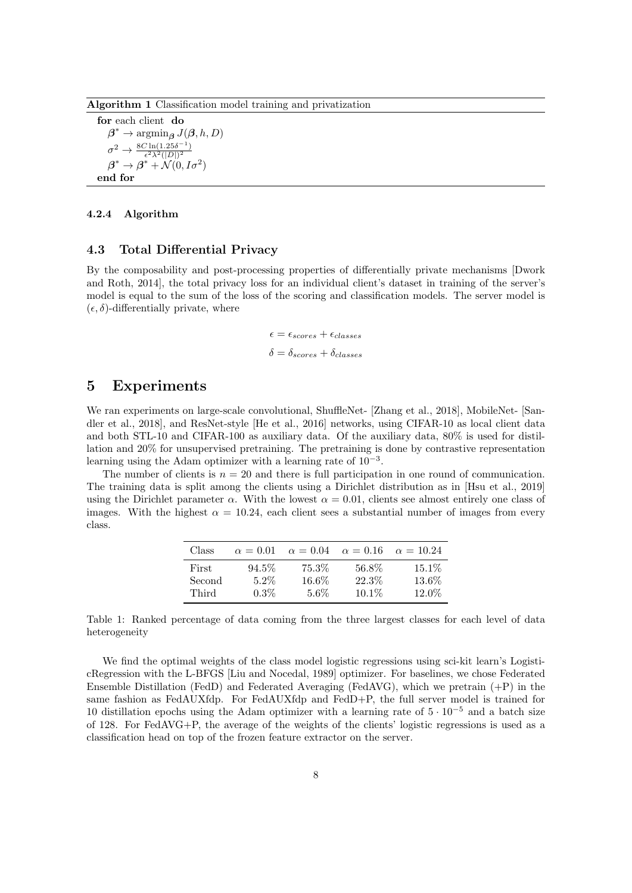<span id="page-7-1"></span>Algorithm 1 Classification model training and privatization

for each client do  $\beta^* \to \operatorname{argmin}_{\beta} J(\beta, h, D)$  $\sigma^2 \rightarrow \frac{8C \ln(1.25\delta^{-1})}{\epsilon^2 \lambda^2 (|D|)^2}$  $\epsilon^2\lambda^2(|D|)^2$  $\boldsymbol{\beta}^* \to \boldsymbol{\beta}^* + \overset{\sim}{\mathcal{N}}(0,I\sigma^2)$ end for

#### 4.2.4 Algorithm

#### 4.3 Total Differential Privacy

By the composability and post-processing properties of differentially private mechanisms [\[Dwork](#page-10-8) [and Roth, 2014\]](#page-10-8), the total privacy loss for an individual client's dataset in training of the server's model is equal to the sum of the loss of the scoring and classification models. The server model is  $(\epsilon, \delta)$ -differentially private, where

> $\epsilon = \epsilon_{scores} + \epsilon_{classes}$  $\delta = \delta_{scores} + \delta_{classes}$

### <span id="page-7-0"></span>5 Experiments

We ran experiments on large-scale convolutional, ShuffleNet- [\[Zhang et al., 2018\]](#page-11-6), MobileNet- [\[San](#page-10-12)[dler et al., 2018\]](#page-10-12), and ResNet-style [\[He et al., 2016\]](#page-10-13) networks, using CIFAR-10 as local client data and both STL-10 and CIFAR-100 as auxiliary data. Of the auxiliary data, 80% is used for distillation and 20% for unsupervised pretraining. The pretraining is done by contrastive representation learning using the Adam optimizer with a learning rate of 10<sup>−</sup><sup>3</sup> .

The number of clients is  $n = 20$  and there is full participation in one round of communication. The training data is split among the clients using a Dirichlet distribution as in [\[Hsu et al., 2019\]](#page-10-14) using the Dirichlet parameter  $\alpha$ . With the lowest  $\alpha = 0.01$ , clients see almost entirely one class of images. With the highest  $\alpha = 10.24$ , each client sees a substantial number of images from every class.

| Class  | $\alpha = 0.01$ | $\alpha = 0.04$ | $\alpha = 0.16$ | $\alpha = 10.24$ |
|--------|-----------------|-----------------|-----------------|------------------|
| First  | $94.5\%$        | 75.3%           | 56.8%           | $15.1\%$         |
| Second | $5.2\%$         | 16.6%           | 22.3%           | 13.6%            |
| Third  | $0.3\%$         | $5.6\%$         | $10.1\%$        | 12.0%            |

Table 1: Ranked percentage of data coming from the three largest classes for each level of data heterogeneity

We find the optimal weights of the class model logistic regressions using sci-kit learn's LogisticRegression with the L-BFGS [\[Liu and Nocedal, 1989\]](#page-10-15) optimizer. For baselines, we chose Federated Ensemble Distillation (FedD) and Federated Averaging (FedAVG), which we pretrain (+P) in the same fashion as FedAUXfdp. For FedAUXfdp and FedD+P, the full server model is trained for 10 distillation epochs using the Adam optimizer with a learning rate of  $5 \cdot 10^{-5}$  and a batch size of 128. For FedAVG+P, the average of the weights of the clients' logistic regressions is used as a classification head on top of the frozen feature extractor on the server.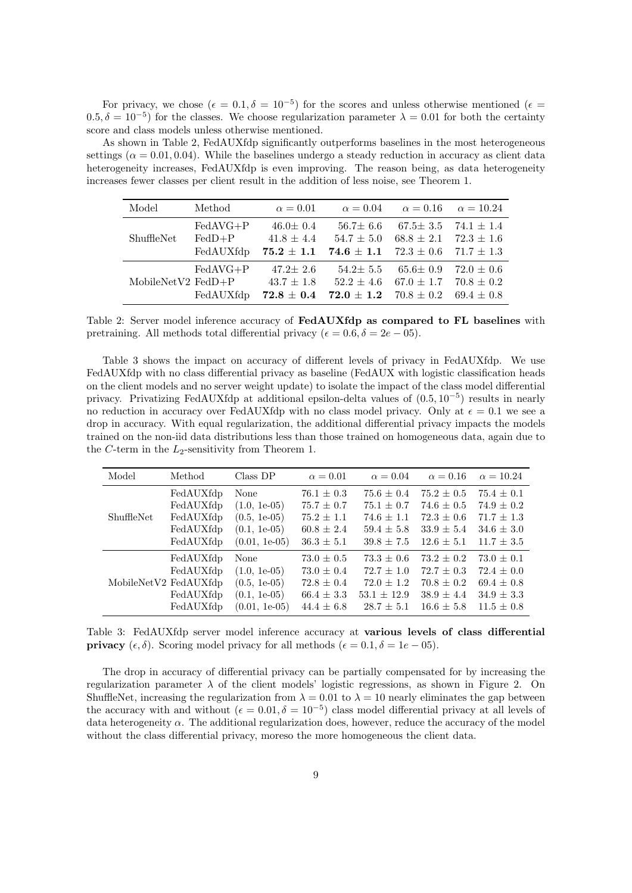For privacy, we chose  $(\epsilon = 0.1, \delta = 10^{-5})$  for the scores and unless otherwise mentioned  $(\epsilon = 1.1, \delta = 10^{-5})$  $(0.5, \delta = 10^{-5})$  for the classes. We choose regularization parameter  $\lambda = 0.01$  for both the certainty score and class models unless otherwise mentioned.

As shown in Table [2,](#page-8-0) FedAUXfdp significantly outperforms baselines in the most heterogeneous settings ( $\alpha = 0.01, 0.04$ ). While the baselines undergo a steady reduction in accuracy as client data heterogeneity increases, FedAUXfdp is even improving. The reason being, as data heterogeneity increases fewer classes per client result in the addition of less noise, see Theorem [1.](#page-5-1)

<span id="page-8-0"></span>

| Model                | Method                              | $\alpha = 0.01$                                      | $\alpha = 0.04$                                    | $\alpha = 0.16$                                    | $\alpha = 10.24$                                   |
|----------------------|-------------------------------------|------------------------------------------------------|----------------------------------------------------|----------------------------------------------------|----------------------------------------------------|
| ShuffleNet           | $FedAVG+P$<br>$FedD+P$<br>FedAUXfdp | $46.0 \pm 0.4$<br>$41.8 \pm 4.4$<br>$75.2\,\pm\,1.1$ | $56.7 \pm 6.6$<br>$54.7 \pm 5.0$<br>$74.6 \pm 1.1$ | $67.5 \pm 3.5$<br>$68.8 \pm 2.1$<br>$72.3 \pm 0.6$ | $74.1 \pm 1.4$<br>$72.3 \pm 1.6$<br>$71.7 \pm 1.3$ |
| MobileNetV2 $FedD+P$ | $FedAVG+P$<br>FedAUXfdp             | $47.2 \pm 2.6$<br>$43.7 \pm 1.8$<br>$72.8\pm0.4$     | $54.2 \pm 5.5$<br>$52.2 \pm 4.6$<br>$72.0 \pm 1.2$ | $65.6 \pm 0.9$<br>$67.0 \pm 1.7$<br>$70.8 \pm 0.2$ | $72.0 \pm 0.6$<br>$70.8 \pm 0.2$<br>$69.4 \pm 0.8$ |

Table 2: Server model inference accuracy of **FedAUXfdp** as compared to FL baselines with pretraining. All methods total differential privacy ( $\epsilon = 0.6, \delta = 2e - 05$ ).

Table [3](#page-8-1) shows the impact on accuracy of different levels of privacy in FedAUXfdp. We use FedAUXfdp with no class differential privacy as baseline (FedAUX with logistic classification heads on the client models and no server weight update) to isolate the impact of the class model differential privacy. Privatizing FedAUXfdp at additional epsilon-delta values of (0.5, 10<sup>−</sup><sup>5</sup> ) results in nearly no reduction in accuracy over FedAUXfdp with no class model privacy. Only at  $\epsilon = 0.1$  we see a drop in accuracy. With equal regularization, the additional differential privacy impacts the models trained on the non-iid data distributions less than those trained on homogeneous data, again due to the C-term in the  $L_2$ -sensitivity from Theorem [1.](#page-5-1)

<span id="page-8-1"></span>

| Model      | Method                | Class DP            | $\alpha = 0.01$ | $\alpha = 0.04$ | $\alpha = 0.16$ | $\alpha = 10.24$ |
|------------|-----------------------|---------------------|-----------------|-----------------|-----------------|------------------|
| ShuffleNet | FedAUXfdp             | None                | $76.1 \pm 0.3$  | $75.6 \pm 0.4$  | $75.2 \pm 0.5$  | $75.4 \pm 0.1$   |
|            | FedAUXfdp             | $(1.0, 1e^{-0.5})$  | $75.7 \pm 0.7$  | $75.1 \pm 0.7$  | $74.6 \pm 0.5$  | $74.9 \pm 0.2$   |
|            | FedAUXfdp             | $(0.5, 1e^{-0.5})$  | $75.2 \pm 1.1$  | $74.6 \pm 1.1$  | $72.3 \pm 0.6$  | $71.7 \pm 1.3$   |
|            | FedAUXfdp             | $(0.1, 1e-05)$      | $60.8 \pm 2.4$  | $59.4 \pm 5.8$  | $33.9 \pm 5.4$  | $34.6 \pm 3.0$   |
|            | FedAUXfdp             | $(0.01, 1e^{-0.5})$ | $36.3 \pm 5.1$  | $39.8 \pm 7.5$  | $12.6 \pm 5.1$  | $11.7 \pm 3.5$   |
|            | FedAUXfdp             | None                | $73.0 \pm 0.5$  | $73.3 \pm 0.6$  | $73.2 \pm 0.2$  | $73.0 \pm 0.1$   |
|            | FedAUXfdp             | $(1.0, 1e^{-0.5})$  | $73.0 \pm 0.4$  | $72.7 \pm 1.0$  | $72.7 \pm 0.3$  | $72.4 \pm 0.0$   |
|            | MobileNetV2 FedAUXfdp | $(0.5, 1e-05)$      | $72.8 \pm 0.4$  | $72.0 \pm 1.2$  | $70.8 \pm 0.2$  | $69.4 \pm 0.8$   |
|            | FedAUXfdp             | $(0.1, 1e-05)$      | $66.4 \pm 3.3$  | $53.1 \pm 12.9$ | $38.9 \pm 4.4$  | $34.9 \pm 3.3$   |
|            | FedAUXfdp             | $(0.01, 1e^{-0.5})$ | $44.4 + 6.8$    | $28.7 + 5.1$    | $16.6 \pm 5.8$  | $11.5 \pm 0.8$   |

Table 3: FedAUXfdp server model inference accuracy at various levels of class differential **privacy**  $(\epsilon, \delta)$ . Scoring model privacy for all methods ( $\epsilon = 0.1, \delta = 1e - 05$ ).

The drop in accuracy of differential privacy can be partially compensated for by increasing the regularization parameter  $\lambda$  of the client models' logistic regressions, as shown in Figure [2.](#page-9-5) On ShuffleNet, increasing the regularization from  $\lambda = 0.01$  to  $\lambda = 10$  nearly eliminates the gap between the accuracy with and without  $(\epsilon = 0.01, \delta = 10^{-5})$  class model differential privacy at all levels of data heterogeneity  $\alpha$ . The additional regularization does, however, reduce the accuracy of the model without the class differential privacy, moreso the more homogeneous the client data.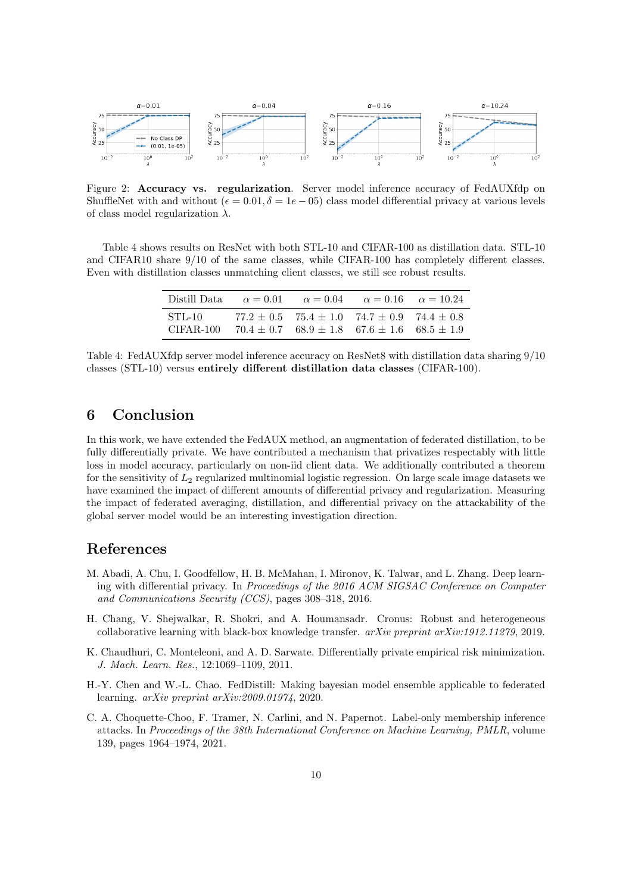<span id="page-9-5"></span>

Figure 2: Accuracy vs. regularization. Server model inference accuracy of FedAUXfdp on ShuffleNet with and without ( $\epsilon = 0.01, \delta = 1e - 05$ ) class model differential privacy at various levels of class model regularization  $\lambda$ .

<span id="page-9-6"></span>Table [4](#page-9-6) shows results on ResNet with both STL-10 and CIFAR-100 as distillation data. STL-10 and CIFAR10 share 9/10 of the same classes, while CIFAR-100 has completely different classes. Even with distillation classes unmatching client classes, we still see robust results.

| Distill Data            | $\alpha = 0.01$ |                                                                                                                            | $\alpha = 0.04$ $\alpha = 0.16$ $\alpha = 10.24$ |  |
|-------------------------|-----------------|----------------------------------------------------------------------------------------------------------------------------|--------------------------------------------------|--|
| $STL-10$<br>$CIFAR-100$ |                 | $77.2 \pm 0.5$ $75.4 \pm 1.0$ $74.7 \pm 0.9$ $74.4 \pm 0.8$<br>$70.4 \pm 0.7$ $68.9 \pm 1.8$ $67.6 \pm 1.6$ $68.5 \pm 1.9$ |                                                  |  |

Table 4: FedAUXfdp server model inference accuracy on ResNet8 with distillation data sharing 9/10 classes (STL-10) versus entirely different distillation data classes (CIFAR-100).

# 6 Conclusion

In this work, we have extended the FedAUX method, an augmentation of federated distillation, to be fully differentially private. We have contributed a mechanism that privatizes respectably with little loss in model accuracy, particularly on non-iid client data. We additionally contributed a theorem for the sensitivity of  $L_2$  regularized multinomial logistic regression. On large scale image datasets we have examined the impact of different amounts of differential privacy and regularization. Measuring the impact of federated averaging, distillation, and differential privacy on the attackability of the global server model would be an interesting investigation direction.

## References

- <span id="page-9-2"></span>M. Abadi, A. Chu, I. Goodfellow, H. B. McMahan, I. Mironov, K. Talwar, and L. Zhang. Deep learning with differential privacy. In Proceedings of the 2016 ACM SIGSAC Conference on Computer and Communications Security (CCS), pages 308–318, 2016.
- <span id="page-9-1"></span>H. Chang, V. Shejwalkar, R. Shokri, and A. Houmansadr. Cronus: Robust and heterogeneous collaborative learning with black-box knowledge transfer.  $arXiv$  preprint  $arXiv:1912.11279$ , 2019.
- <span id="page-9-4"></span>K. Chaudhuri, C. Monteleoni, and A. D. Sarwate. Differentially private empirical risk minimization. J. Mach. Learn. Res., 12:1069–1109, 2011.
- <span id="page-9-0"></span>H.-Y. Chen and W.-L. Chao. FedDistill: Making bayesian model ensemble applicable to federated learning. arXiv preprint arXiv:2009.01974, 2020.
- <span id="page-9-3"></span>C. A. Choquette-Choo, F. Tramer, N. Carlini, and N. Papernot. Label-only membership inference attacks. In Proceedings of the 38th International Conference on Machine Learning, PMLR, volume 139, pages 1964–1974, 2021.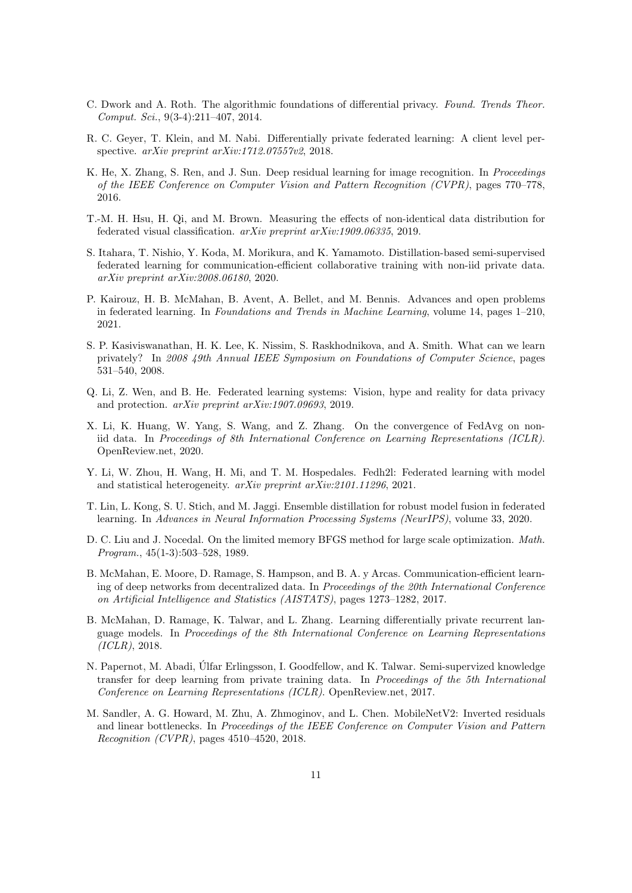- <span id="page-10-8"></span>C. Dwork and A. Roth. The algorithmic foundations of differential privacy. Found. Trends Theor. Comput. Sci., 9(3-4):211–407, 2014.
- <span id="page-10-10"></span>R. C. Geyer, T. Klein, and M. Nabi. Differentially private federated learning: A client level perspective. arXiv preprint arXiv:1712.07557v2, 2018.
- <span id="page-10-13"></span>K. He, X. Zhang, S. Ren, and J. Sun. Deep residual learning for image recognition. In Proceedings of the IEEE Conference on Computer Vision and Pattern Recognition (CVPR), pages 770–778, 2016.
- <span id="page-10-14"></span>T.-M. H. Hsu, H. Qi, and M. Brown. Measuring the effects of non-identical data distribution for federated visual classification. arXiv preprint arXiv:1909.06335, 2019.
- <span id="page-10-2"></span>S. Itahara, T. Nishio, Y. Koda, M. Morikura, and K. Yamamoto. Distillation-based semi-supervised federated learning for communication-efficient collaborative training with non-iid private data. arXiv preprint arXiv:2008.06180, 2020.
- <span id="page-10-6"></span>P. Kairouz, H. B. McMahan, B. Avent, A. Bellet, and M. Bennis. Advances and open problems in federated learning. In Foundations and Trends in Machine Learning, volume 14, pages 1–210, 2021.
- <span id="page-10-9"></span>S. P. Kasiviswanathan, H. K. Lee, K. Nissim, S. Raskhodnikova, and A. Smith. What can we learn privately? In 2008 49th Annual IEEE Symposium on Foundations of Computer Science, pages 531–540, 2008.
- <span id="page-10-1"></span>Q. Li, Z. Wen, and B. He. Federated learning systems: Vision, hype and reality for data privacy and protection. arXiv preprint arXiv:1907.09693, 2019.
- <span id="page-10-4"></span>X. Li, K. Huang, W. Yang, S. Wang, and Z. Zhang. On the convergence of FedAvg on noniid data. In Proceedings of 8th International Conference on Learning Representations (ICLR). OpenReview.net, 2020.
- <span id="page-10-5"></span>Y. Li, W. Zhou, H. Wang, H. Mi, and T. M. Hospedales. Fedh2l: Federated learning with model and statistical heterogeneity. arXiv preprint arXiv:2101.11296, 2021.
- <span id="page-10-3"></span>T. Lin, L. Kong, S. U. Stich, and M. Jaggi. Ensemble distillation for robust model fusion in federated learning. In Advances in Neural Information Processing Systems (NeurIPS), volume 33, 2020.
- <span id="page-10-15"></span>D. C. Liu and J. Nocedal. On the limited memory BFGS method for large scale optimization. Math. Program., 45(1-3):503–528, 1989.
- <span id="page-10-0"></span>B. McMahan, E. Moore, D. Ramage, S. Hampson, and B. A. y Arcas. Communication-efficient learning of deep networks from decentralized data. In Proceedings of the 20th International Conference on Artificial Intelligence and Statistics (AISTATS), pages 1273–1282, 2017.
- <span id="page-10-11"></span>B. McMahan, D. Ramage, K. Talwar, and L. Zhang. Learning differentially private recurrent language models. In Proceedings of the 8th International Conference on Learning Representations (ICLR), 2018.
- <span id="page-10-7"></span>N. Papernot, M. Abadi, Ulfar Erlingsson, I. Goodfellow, and K. Talwar. Semi-supervized knowledge ´ transfer for deep learning from private training data. In Proceedings of the 5th International Conference on Learning Representations (ICLR). OpenReview.net, 2017.
- <span id="page-10-12"></span>M. Sandler, A. G. Howard, M. Zhu, A. Zhmoginov, and L. Chen. MobileNetV2: Inverted residuals and linear bottlenecks. In Proceedings of the IEEE Conference on Computer Vision and Pattern Recognition (CVPR), pages  $4510-4520$ ,  $2018$ .